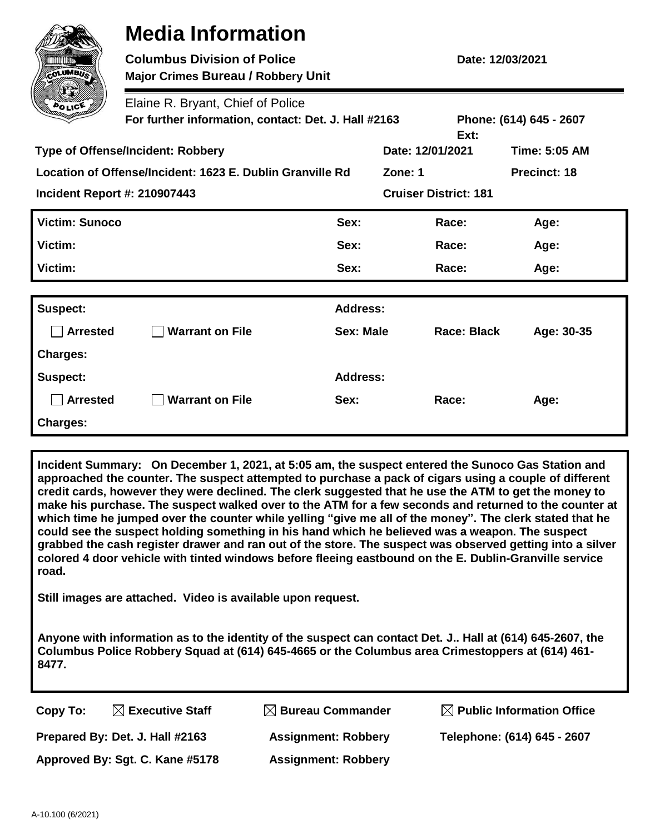## **Media Information**



**Columbus Division of Police Date: 12/03/2021 Major Crimes Bureau / Robbery Unit**

| <b>POLICE</b>                                             | Elaine R. Bryant, Chief of Police                    |                  |                              |                         |  |
|-----------------------------------------------------------|------------------------------------------------------|------------------|------------------------------|-------------------------|--|
|                                                           | For further information, contact: Det. J. Hall #2163 |                  |                              | Phone: (614) 645 - 2607 |  |
|                                                           |                                                      |                  | Ext:<br>Date: 12/01/2021     | <b>Time: 5:05 AM</b>    |  |
| Type of Offense/Incident: Robbery                         |                                                      |                  |                              |                         |  |
| Location of Offense/Incident: 1623 E. Dublin Granville Rd |                                                      |                  | Zone: 1                      | <b>Precinct: 18</b>     |  |
| <b>Incident Report #: 210907443</b>                       |                                                      |                  | <b>Cruiser District: 181</b> |                         |  |
| <b>Victim: Sunoco</b>                                     |                                                      | Sex:             | Race:                        | Age:                    |  |
| Victim:                                                   |                                                      | Sex:             | Race:                        | Age:                    |  |
| Victim:                                                   |                                                      | Sex:             | Race:                        | Age:                    |  |
|                                                           |                                                      |                  |                              |                         |  |
| <b>Suspect:</b>                                           |                                                      | <b>Address:</b>  |                              |                         |  |
| <b>Arrested</b>                                           | <b>Warrant on File</b>                               | <b>Sex: Male</b> | <b>Race: Black</b>           | Age: 30-35              |  |
| <b>Charges:</b>                                           |                                                      |                  |                              |                         |  |
| <b>Suspect:</b>                                           |                                                      | <b>Address:</b>  |                              |                         |  |
| <b>Arrested</b>                                           | <b>Warrant on File</b>                               | Sex:             | Race:                        | Age:                    |  |
| <b>Charges:</b>                                           |                                                      |                  |                              |                         |  |

**Incident Summary: On December 1, 2021, at 5:05 am, the suspect entered the Sunoco Gas Station and approached the counter. The suspect attempted to purchase a pack of cigars using a couple of different credit cards, however they were declined. The clerk suggested that he use the ATM to get the money to make his purchase. The suspect walked over to the ATM for a few seconds and returned to the counter at which time he jumped over the counter while yelling "give me all of the money". The clerk stated that he could see the suspect holding something in his hand which he believed was a weapon. The suspect grabbed the cash register drawer and ran out of the store. The suspect was observed getting into a silver colored 4 door vehicle with tinted windows before fleeing eastbound on the E. Dublin-Granville service road.** 

**Still images are attached. Video is available upon request.**

**Anyone with information as to the identity of the suspect can contact Det. J.. Hall at (614) 645-2607, the Columbus Police Robbery Squad at (614) 645-4665 or the Columbus area Crimestoppers at (614) 461- 8477.** 

| Copy To:                        | $\boxtimes$ Executive Staff     | $\boxtimes$ Bureau Commander | $\boxtimes$ Public Information Office |
|---------------------------------|---------------------------------|------------------------------|---------------------------------------|
|                                 | Prepared By: Det. J. Hall #2163 | <b>Assignment: Robbery</b>   | Telephone: (614) 645 - 2607           |
| Approved By: Sgt. C. Kane #5178 |                                 | <b>Assignment: Robbery</b>   |                                       |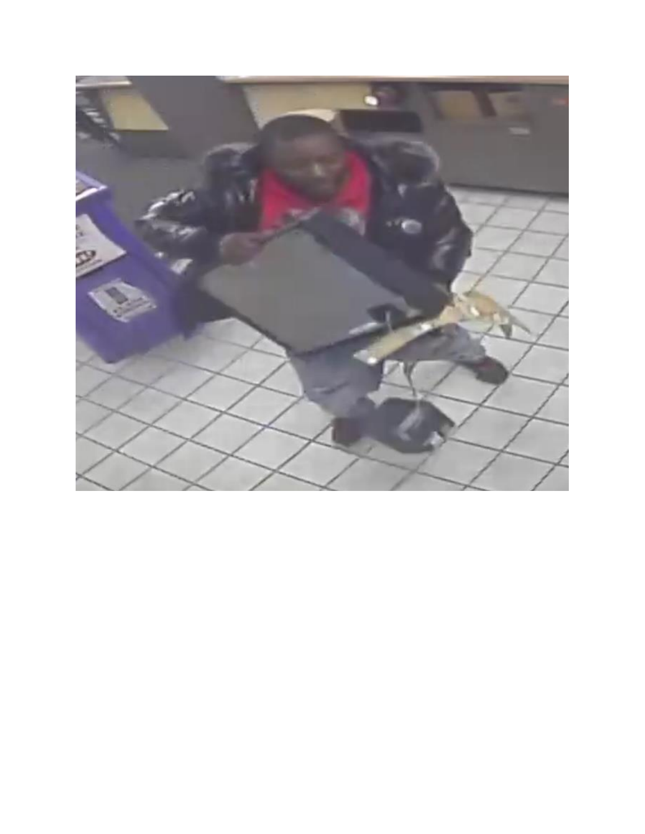